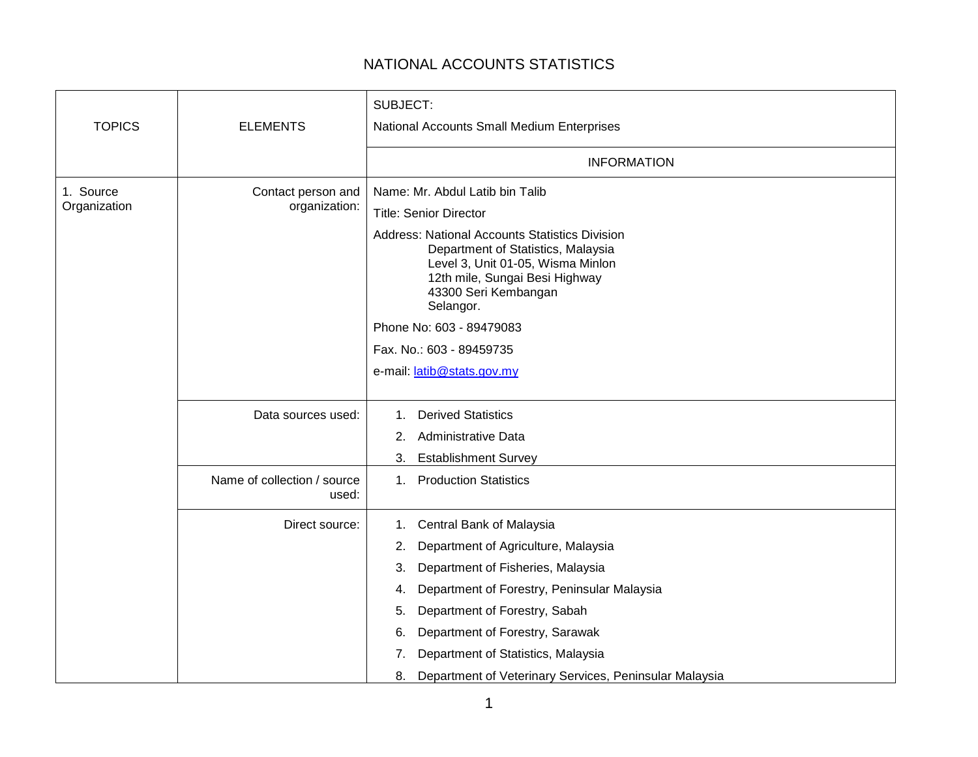## NATIONAL ACCOUNTS STATISTICS

| <b>TOPICS</b>             | <b>ELEMENTS</b>                      | SUBJECT:<br>National Accounts Small Medium Enterprises                                                                                                                                                                                                                                                                                                                  |
|---------------------------|--------------------------------------|-------------------------------------------------------------------------------------------------------------------------------------------------------------------------------------------------------------------------------------------------------------------------------------------------------------------------------------------------------------------------|
|                           |                                      | <b>INFORMATION</b>                                                                                                                                                                                                                                                                                                                                                      |
| 1. Source<br>Organization | Contact person and<br>organization:  | Name: Mr. Abdul Latib bin Talib<br><b>Title: Senior Director</b><br><b>Address: National Accounts Statistics Division</b><br>Department of Statistics, Malaysia<br>Level 3, Unit 01-05, Wisma Minlon<br>12th mile, Sungai Besi Highway<br>43300 Seri Kembangan<br>Selangor.<br>Phone No: 603 - 89479083<br>Fax. No.: 603 - 89459735<br>e-mail: latib@stats.gov.my       |
|                           | Data sources used:                   | <b>Derived Statistics</b><br>1.<br><b>Administrative Data</b><br>2.<br>Establishment Survey<br>3.                                                                                                                                                                                                                                                                       |
|                           | Name of collection / source<br>used: | 1. Production Statistics                                                                                                                                                                                                                                                                                                                                                |
|                           | Direct source:                       | Central Bank of Malaysia<br>1.<br>Department of Agriculture, Malaysia<br>2.<br>Department of Fisheries, Malaysia<br>3.<br>Department of Forestry, Peninsular Malaysia<br>4.<br>Department of Forestry, Sabah<br>5.<br>Department of Forestry, Sarawak<br>6.<br>Department of Statistics, Malaysia<br>7.<br>Department of Veterinary Services, Peninsular Malaysia<br>8. |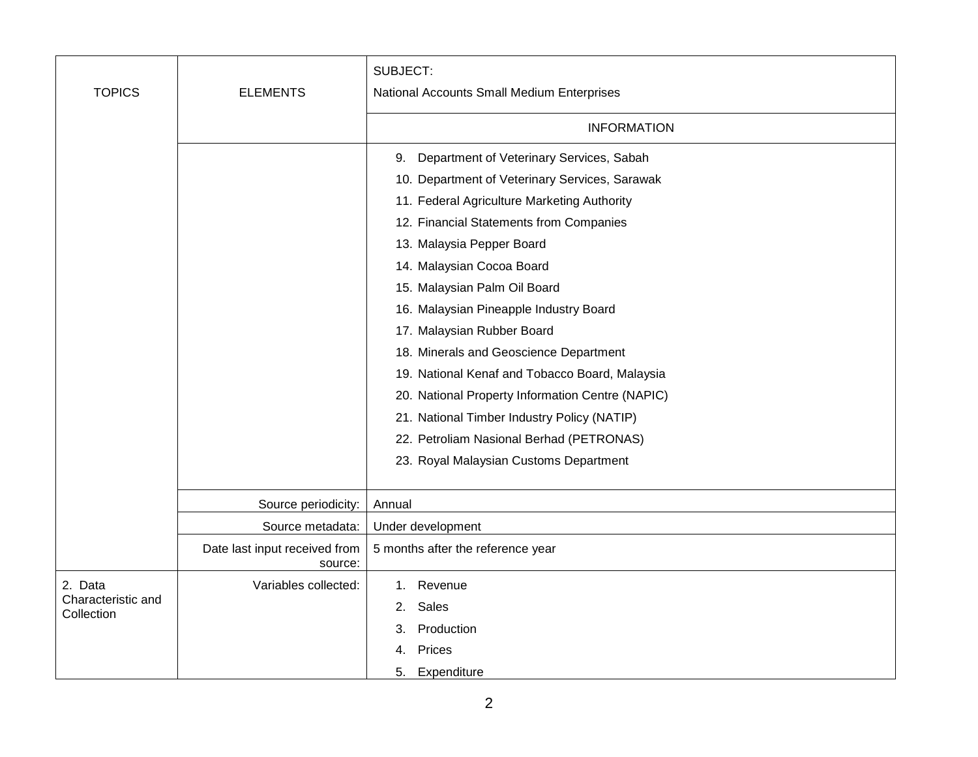| <b>TOPICS</b>                               |                                          | SUBJECT:                                         |
|---------------------------------------------|------------------------------------------|--------------------------------------------------|
|                                             | <b>ELEMENTS</b>                          | National Accounts Small Medium Enterprises       |
|                                             |                                          | <b>INFORMATION</b>                               |
|                                             |                                          | Department of Veterinary Services, Sabah<br>9.   |
|                                             |                                          | 10. Department of Veterinary Services, Sarawak   |
|                                             |                                          | 11. Federal Agriculture Marketing Authority      |
|                                             |                                          | 12. Financial Statements from Companies          |
|                                             |                                          | 13. Malaysia Pepper Board                        |
|                                             |                                          | 14. Malaysian Cocoa Board                        |
|                                             |                                          | 15. Malaysian Palm Oil Board                     |
|                                             |                                          | 16. Malaysian Pineapple Industry Board           |
|                                             |                                          | 17. Malaysian Rubber Board                       |
|                                             |                                          | 18. Minerals and Geoscience Department           |
|                                             |                                          | 19. National Kenaf and Tobacco Board, Malaysia   |
|                                             |                                          | 20. National Property Information Centre (NAPIC) |
|                                             |                                          | 21. National Timber Industry Policy (NATIP)      |
|                                             |                                          | 22. Petroliam Nasional Berhad (PETRONAS)         |
|                                             |                                          | 23. Royal Malaysian Customs Department           |
|                                             |                                          |                                                  |
|                                             | Source periodicity:                      | Annual                                           |
|                                             | Source metadata:                         | Under development                                |
|                                             | Date last input received from<br>source: | 5 months after the reference year                |
| 2. Data<br>Characteristic and<br>Collection | Variables collected:                     | Revenue<br>1.                                    |
|                                             |                                          | Sales<br>2.                                      |
|                                             |                                          | Production<br>З.                                 |
|                                             |                                          | Prices<br>4.                                     |
|                                             |                                          | Expenditure<br>5.                                |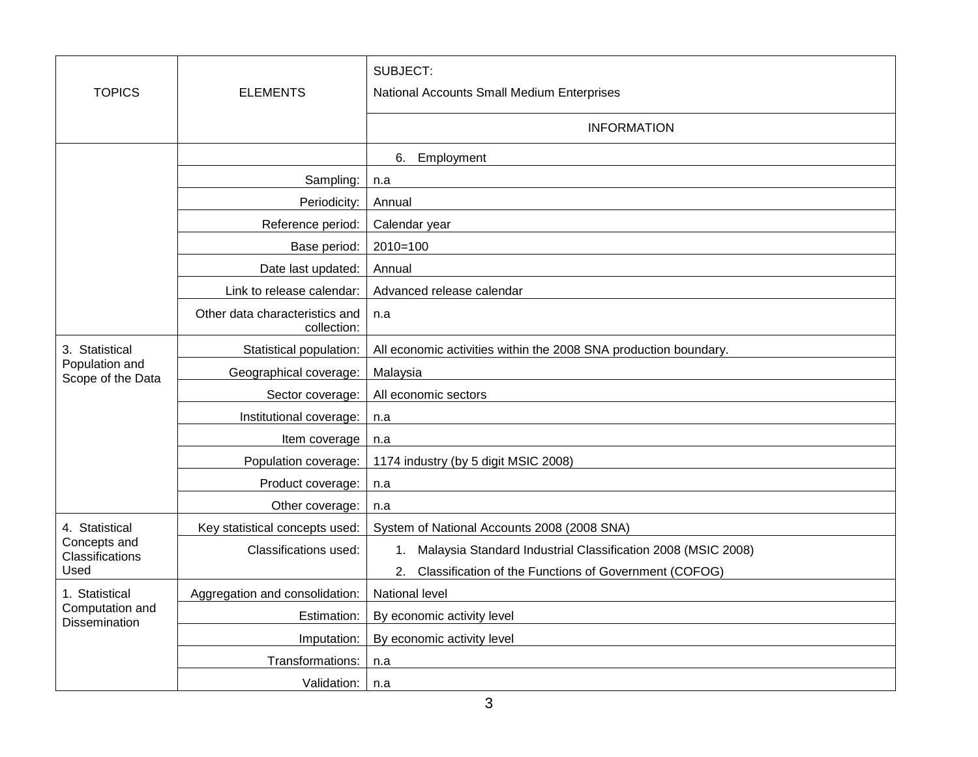| <b>TOPICS</b>                                      | <b>ELEMENTS</b>                               | SUBJECT:<br>National Accounts Small Medium Enterprises             |
|----------------------------------------------------|-----------------------------------------------|--------------------------------------------------------------------|
|                                                    |                                               | <b>INFORMATION</b>                                                 |
|                                                    |                                               | Employment<br>6.                                                   |
|                                                    | Sampling:                                     | n.a                                                                |
|                                                    | Periodicity:                                  | Annual                                                             |
|                                                    | Reference period:                             | Calendar year                                                      |
|                                                    | Base period:                                  | $2010=100$                                                         |
|                                                    | Date last updated:                            | Annual                                                             |
|                                                    | Link to release calendar:                     | Advanced release calendar                                          |
|                                                    | Other data characteristics and<br>collection: | n.a                                                                |
| 3. Statistical                                     | Statistical population:                       | All economic activities within the 2008 SNA production boundary.   |
| Population and<br>Scope of the Data                | Geographical coverage:                        | Malaysia                                                           |
|                                                    | Sector coverage:                              | All economic sectors                                               |
|                                                    | Institutional coverage:                       | n.a                                                                |
|                                                    | Item coverage                                 | n.a                                                                |
|                                                    | Population coverage:                          | 1174 industry (by 5 digit MSIC 2008)                               |
|                                                    | Product coverage:                             | n.a                                                                |
|                                                    | Other coverage:                               | n.a                                                                |
| 4. Statistical<br>Concepts and<br>Classifications  | Key statistical concepts used:                | System of National Accounts 2008 (2008 SNA)                        |
|                                                    | Classifications used:                         | Malaysia Standard Industrial Classification 2008 (MSIC 2008)<br>1. |
| Used                                               |                                               | Classification of the Functions of Government (COFOG)<br>2.        |
| 1. Statistical<br>Computation and<br>Dissemination | Aggregation and consolidation:                | National level                                                     |
|                                                    | Estimation:                                   | By economic activity level                                         |
|                                                    | Imputation:                                   | By economic activity level                                         |
|                                                    | Transformations:                              | n.a                                                                |
|                                                    | Validation:                                   | n.a                                                                |